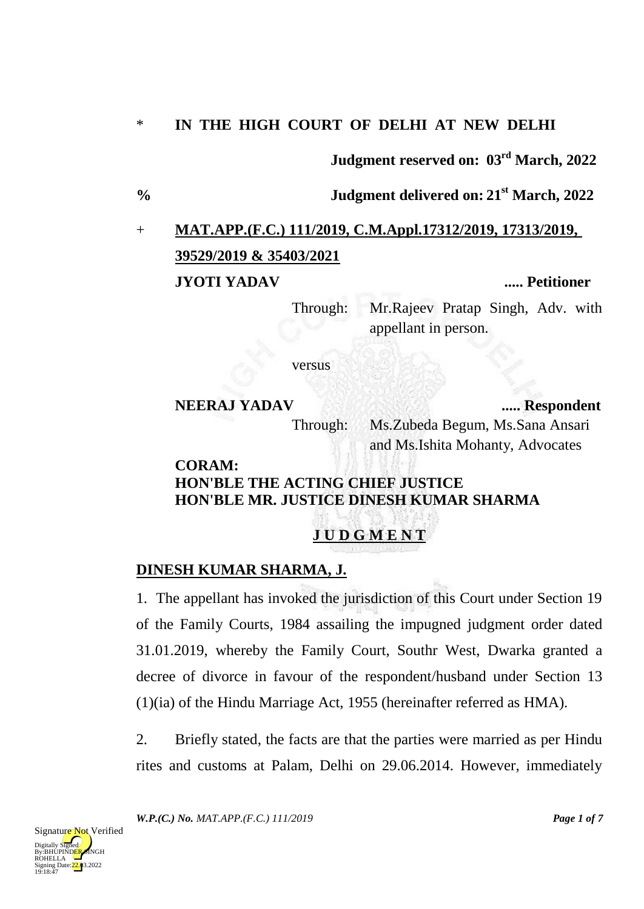#### \* **IN THE HIGH COURT OF DELHI AT NEW DELHI**

**Judgment reserved on: 03rd March, 2022**

**% Judgment delivered on: 21st March, 2022**

# + **MAT.APP.(F.C.) 111/2019, C.M.Appl.17312/2019, 17313/2019, 39529/2019 & 35403/2021 JYOTI YADAV ..... Petitioner**

Through: Mr.Rajeev Pratap Singh, Adv. with appellant in person.

versus

### **NEERAJ YADAV ..... Respondent** Through: Ms.Zubeda Begum, Ms.Sana Ansari and Ms.Ishita Mohanty, Advocates

#### **CORAM: HON'BLE THE ACTING CHIEF JUSTICE HON'BLE MR. JUSTICE DINESH KUMAR SHARMA**

## **J U D G M E N T**

### **DINESH KUMAR SHARMA, J.**

1. The appellant has invoked the jurisdiction of this Court under Section 19 of the Family Courts, 1984 assailing the impugned judgment order dated 31.01.2019, whereby the Family Court, Southr West, Dwarka granted a decree of divorce in favour of the respondent/husband under Section 13 (1)(ia) of the Hindu Marriage Act, 1955 (hereinafter referred as HMA).

2. Briefly stated, the facts are that the parties were married as per Hindu rites and customs at Palam, Delhi on 29.06.2014. However, immediately

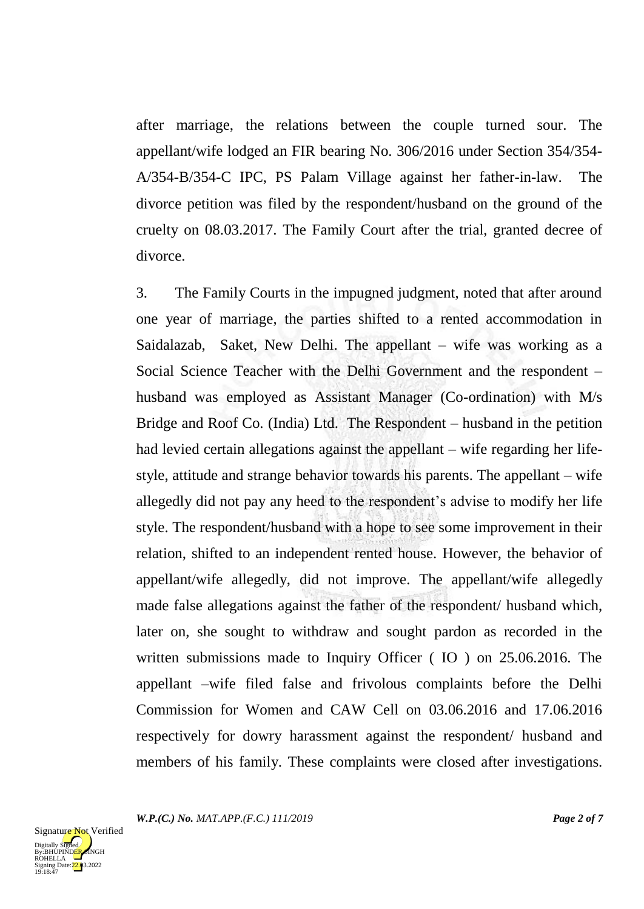after marriage, the relations between the couple turned sour. The appellant/wife lodged an FIR bearing No. 306/2016 under Section 354/354- A/354-B/354-C IPC, PS Palam Village against her father-in-law. The divorce petition was filed by the respondent/husband on the ground of the cruelty on 08.03.2017. The Family Court after the trial, granted decree of divorce.

3. The Family Courts in the impugned judgment, noted that after around one year of marriage, the parties shifted to a rented accommodation in Saidalazab, Saket, New Delhi. The appellant – wife was working as a Social Science Teacher with the Delhi Government and the respondent – husband was employed as Assistant Manager (Co-ordination) with M/s Bridge and Roof Co. (India) Ltd. The Respondent – husband in the petition had levied certain allegations against the appellant – wife regarding her lifestyle, attitude and strange behavior towards his parents. The appellant – wife allegedly did not pay any heed to the respondent's advise to modify her life style. The respondent/husband with a hope to see some improvement in their relation, shifted to an independent rented house. However, the behavior of appellant/wife allegedly, did not improve. The appellant/wife allegedly made false allegations against the father of the respondent/ husband which, later on, she sought to withdraw and sought pardon as recorded in the written submissions made to Inquiry Officer (IO ) on 25.06.2016. The appellant –wife filed false and frivolous complaints before the Delhi Commission for Women and CAW Cell on 03.06.2016 and 17.06.2016 respectively for dowry harassment against the respondent/ husband and members of his family. These complaints were closed after investigations.

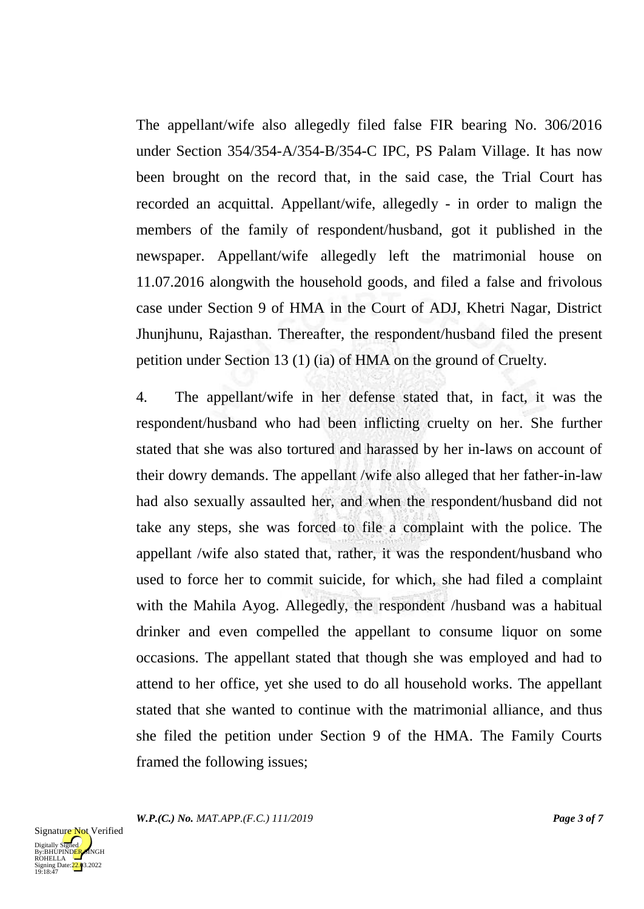The appellant/wife also allegedly filed false FIR bearing No. 306/2016 under Section 354/354-A/354-B/354-C IPC, PS Palam Village. It has now been brought on the record that, in the said case, the Trial Court has recorded an acquittal. Appellant/wife, allegedly - in order to malign the members of the family of respondent/husband, got it published in the newspaper. Appellant/wife allegedly left the matrimonial house on 11.07.2016 alongwith the household goods, and filed a false and frivolous case under Section 9 of HMA in the Court of ADJ, Khetri Nagar, District Jhunjhunu, Rajasthan. Thereafter, the respondent/husband filed the present petition under Section 13 (1) (ia) of HMA on the ground of Cruelty.

4. The appellant/wife in her defense stated that, in fact, it was the respondent/husband who had been inflicting cruelty on her. She further stated that she was also tortured and harassed by her in-laws on account of their dowry demands. The appellant /wife also alleged that her father-in-law had also sexually assaulted her, and when the respondent/husband did not take any steps, she was forced to file a complaint with the police. The appellant /wife also stated that, rather, it was the respondent/husband who used to force her to commit suicide, for which, she had filed a complaint with the Mahila Ayog. Allegedly, the respondent /husband was a habitual drinker and even compelled the appellant to consume liquor on some occasions. The appellant stated that though she was employed and had to attend to her office, yet she used to do all household works. The appellant stated that she wanted to continue with the matrimonial alliance, and thus she filed the petition under Section 9 of the HMA. The Family Courts framed the following issues;

*W.P.(C.) No. MAT.APP.(F.C.) 111/2019 Page 3 of 7*

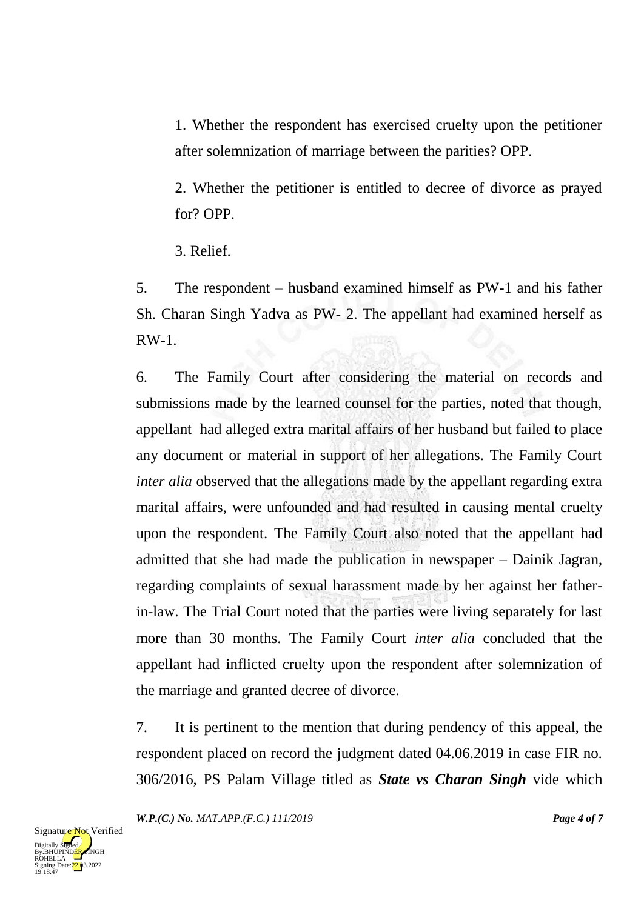1. Whether the respondent has exercised cruelty upon the petitioner after solemnization of marriage between the parities? OPP.

2. Whether the petitioner is entitled to decree of divorce as prayed for? OPP.

3. Relief.

5. The respondent – husband examined himself as PW-1 and his father Sh. Charan Singh Yadva as PW- 2. The appellant had examined herself as RW-1.

6. The Family Court after considering the material on records and submissions made by the learned counsel for the parties, noted that though, appellant had alleged extra marital affairs of her husband but failed to place any document or material in support of her allegations. The Family Court *inter alia* observed that the allegations made by the appellant regarding extra marital affairs, were unfounded and had resulted in causing mental cruelty upon the respondent. The Family Court also noted that the appellant had admitted that she had made the publication in newspaper – Dainik Jagran, regarding complaints of sexual harassment made by her against her fatherin-law. The Trial Court noted that the parties were living separately for last more than 30 months. The Family Court *inter alia* concluded that the appellant had inflicted cruelty upon the respondent after solemnization of the marriage and granted decree of divorce.

7. It is pertinent to the mention that during pendency of this appeal, the respondent placed on record the judgment dated 04.06.2019 in case FIR no. 306/2016, PS Palam Village titled as *State vs Charan Singh* vide which

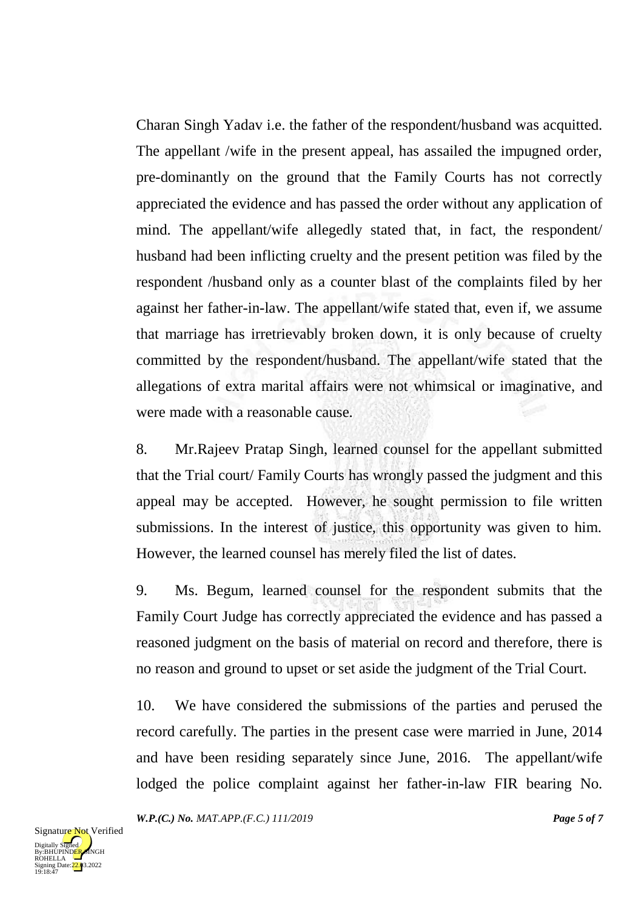Charan Singh Yadav i.e. the father of the respondent/husband was acquitted. The appellant /wife in the present appeal, has assailed the impugned order, pre-dominantly on the ground that the Family Courts has not correctly appreciated the evidence and has passed the order without any application of mind. The appellant/wife allegedly stated that, in fact, the respondent/ husband had been inflicting cruelty and the present petition was filed by the respondent /husband only as a counter blast of the complaints filed by her against her father-in-law. The appellant/wife stated that, even if, we assume that marriage has irretrievably broken down, it is only because of cruelty committed by the respondent/husband. The appellant/wife stated that the allegations of extra marital affairs were not whimsical or imaginative, and were made with a reasonable cause.

8. Mr.Rajeev Pratap Singh, learned counsel for the appellant submitted that the Trial court/ Family Courts has wrongly passed the judgment and this appeal may be accepted. However, he sought permission to file written submissions. In the interest of justice, this opportunity was given to him. However, the learned counsel has merely filed the list of dates.

9. Ms. Begum, learned counsel for the respondent submits that the Family Court Judge has correctly appreciated the evidence and has passed a reasoned judgment on the basis of material on record and therefore, there is no reason and ground to upset or set aside the judgment of the Trial Court.

10. We have considered the submissions of the parties and perused the record carefully. The parties in the present case were married in June, 2014 and have been residing separately since June, 2016. The appellant/wife lodged the police complaint against her father-in-law FIR bearing No.

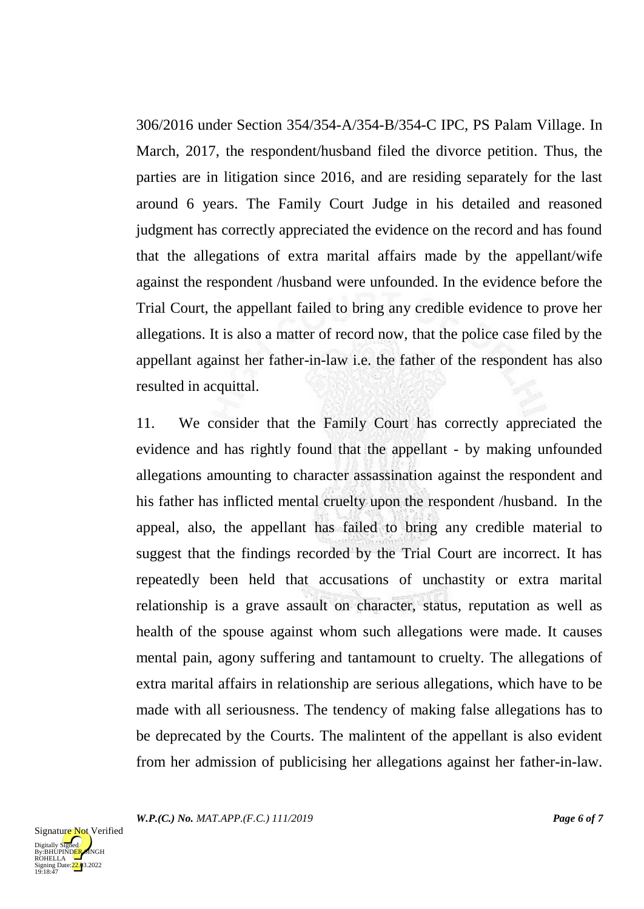306/2016 under Section 354/354-A/354-B/354-C IPC, PS Palam Village. In March, 2017, the respondent/husband filed the divorce petition. Thus, the parties are in litigation since 2016, and are residing separately for the last around 6 years. The Family Court Judge in his detailed and reasoned judgment has correctly appreciated the evidence on the record and has found that the allegations of extra marital affairs made by the appellant/wife against the respondent /husband were unfounded. In the evidence before the Trial Court, the appellant failed to bring any credible evidence to prove her allegations. It is also a matter of record now, that the police case filed by the appellant against her father-in-law i.e. the father of the respondent has also resulted in acquittal.

11. We consider that the Family Court has correctly appreciated the evidence and has rightly found that the appellant - by making unfounded allegations amounting to character assassination against the respondent and his father has inflicted mental cruelty upon the respondent /husband. In the appeal, also, the appellant has failed to bring any credible material to suggest that the findings recorded by the Trial Court are incorrect. It has repeatedly been held that accusations of unchastity or extra marital relationship is a grave assault on character, status, reputation as well as health of the spouse against whom such allegations were made. It causes mental pain, agony suffering and tantamount to cruelty. The allegations of extra marital affairs in relationship are serious allegations, which have to be made with all seriousness. The tendency of making false allegations has to be deprecated by the Courts. The malintent of the appellant is also evident from her admission of publicising her allegations against her father-in-law.

*W.P.(C.) No. MAT.APP.(F.C.) 111/2019 Page 6 of 7*